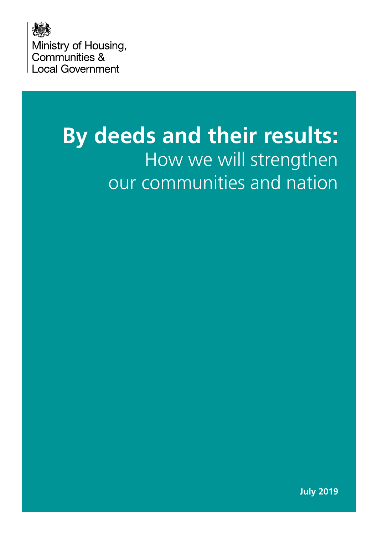

# **By deeds and their results:**  How we will strengthen our communities and nation

**July 2019**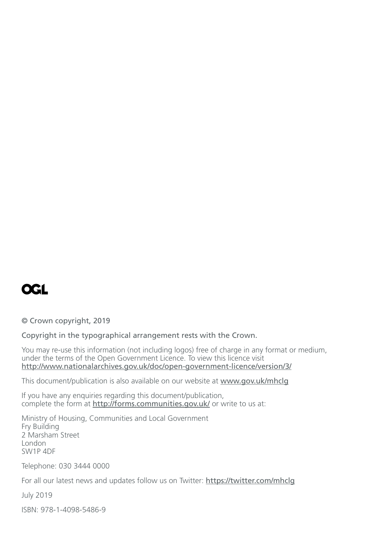

© Crown copyright, 2019

Copyright in the typographical arrangement rests with the Crown.

You may re-use this information (not including logos) free of charge in any format or medium, under the terms of the Open Government Licence. To view this licence visit <http://www.nationalarchives.gov.uk/doc/open-government-licence/version/3/>

This document/publication is also available on our website at [www.gov.uk/mhclg](http://www.gov.uk/mhclg)

If you have any enquiries regarding this document/publication, complete the form at <http://forms.communities.gov.uk/> or write to us at:

Ministry of Housing, Communities and Local Government Fry Building 2 Marsham Street London SW1P 4DF

Telephone: 030 3444 0000

For all our latest news and updates follow us on Twitter: <https://twitter.com/mhclg>

July 2019

ISBN: 978-1-4098-5486-9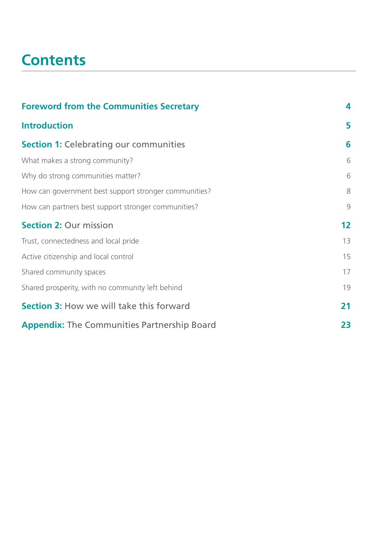# **Contents**

| <b>Foreword from the Communities Secretary</b>        | 4             |
|-------------------------------------------------------|---------------|
| <b>Introduction</b>                                   | 5             |
| <b>Section 1: Celebrating our communities</b>         | 6             |
| What makes a strong community?                        | 6             |
| Why do strong communities matter?                     | 6             |
| How can government best support stronger communities? | 8             |
| How can partners best support stronger communities?   | $\mathcal{G}$ |
| <b>Section 2: Our mission</b>                         | 12            |
| Trust, connectedness and local pride                  | 13            |
| Active citizenship and local control                  | 15            |
| Shared community spaces                               | 17            |
| Shared prosperity, with no community left behind      | 19            |
| <b>Section 3: How we will take this forward</b>       | 21            |
| <b>Appendix:</b> The Communities Partnership Board    | 23            |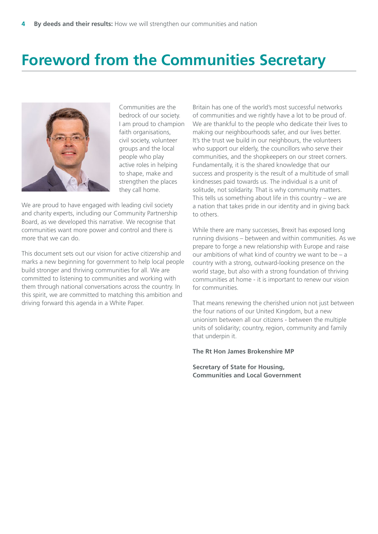# **Foreword from the Communities Secretary**



Communities are the bedrock of our society. I am proud to champion faith organisations, civil society, volunteer groups and the local people who play active roles in helping to shape, make and strengthen the places they call home.

We are proud to have engaged with leading civil society and charity experts, including our Community Partnership Board, as we developed this narrative. We recognise that communities want more power and control and there is more that we can do.

This document sets out our vision for active citizenship and marks a new beginning for government to help local people build stronger and thriving communities for all. We are committed to listening to communities and working with them through national conversations across the country. In this spirit, we are committed to matching this ambition and driving forward this agenda in a White Paper.

Britain has one of the world's most successful networks of communities and we rightly have a lot to be proud of. We are thankful to the people who dedicate their lives to making our neighbourhoods safer, and our lives better. It's the trust we build in our neighbours, the volunteers who support our elderly, the councillors who serve their communities, and the shopkeepers on our street corners. Fundamentally, it is the shared knowledge that our success and prosperity is the result of a multitude of small kindnesses paid towards us. The individual is a unit of solitude, not solidarity. That is why community matters. This tells us something about life in this country – we are a nation that takes pride in our identity and in giving back to others.

While there are many successes, Brexit has exposed long running divisions – between and within communities. As we prepare to forge a new relationship with Europe and raise our ambitions of what kind of country we want to be – a country with a strong, outward-looking presence on the world stage, but also with a strong foundation of thriving communities at home - it is important to renew our vision for communities.

That means renewing the cherished union not just between the four nations of our United Kingdom, but a new unionism between all our citizens - between the multiple units of solidarity; country, region, community and family that underpin it.

#### **The Rt Hon James Brokenshire MP**

**Secretary of State for Housing, Communities and Local Government**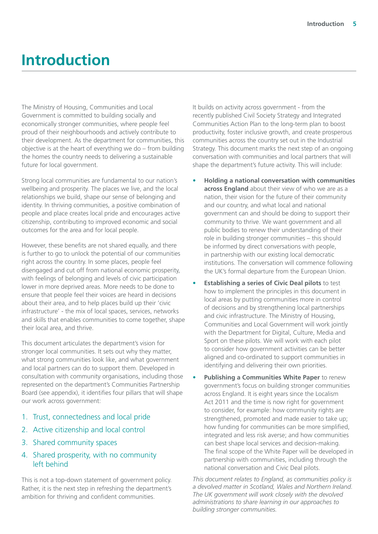# **Introduction**

The Ministry of Housing, Communities and Local Government is committed to building socially and economically stronger communities, where people feel proud of their neighbourhoods and actively contribute to their development. As the department for communities, this objective is at the heart of everything we do – from building the homes the country needs to delivering a sustainable future for local government.

Strong local communities are fundamental to our nation's wellbeing and prosperity. The places we live, and the local relationships we build, shape our sense of belonging and identity. In thriving communities, a positive combination of people and place creates local pride and encourages active citizenship, contributing to improved economic and social outcomes for the area and for local people.

However, these benefits are not shared equally, and there is further to go to unlock the potential of our communities right across the country. In some places, people feel disengaged and cut off from national economic prosperity, with feelings of belonging and levels of civic participation lower in more deprived areas. More needs to be done to ensure that people feel their voices are heard in decisions about their area, and to help places build up their 'civic infrastructure' - the mix of local spaces, services, networks and skills that enables communities to come together, shape their local area, and thrive.

This document articulates the department's vision for stronger local communities. It sets out why they matter, what strong communities look like, and what government and local partners can do to support them. Developed in consultation with community organisations, including those represented on the department's Communities Partnership Board (see appendix), it identifies four pillars that will shape our work across government:

- 1. Trust, connectedness and local pride
- 2. Active citizenship and local control
- 3. Shared community spaces
- 4. Shared prosperity, with no community left behind

This is not a top-down statement of government policy. Rather, it is the next step in refreshing the department's ambition for thriving and confident communities.

It builds on activity across government - from the recently published Civil Society Strategy and Integrated Communities Action Plan to the long-term plan to boost productivity, foster inclusive growth, and create prosperous communities across the country set out in the Industrial Strategy. This document marks the next step of an ongoing conversation with communities and local partners that will shape the department's future activity. This will include:

- **Holding a national conversation with communities across England** about their view of who we are as a nation, their vision for the future of their community and our country, and what local and national government can and should be doing to support their community to thrive. We want government and all public bodies to renew their understanding of their role in building stronger communities – this should be informed by direct conversations with people, in partnership with our existing local democratic institutions. The conversation will commence following the UK's formal departure from the European Union.
- **Establishing a series of Civic Deal pilots** to test how to implement the principles in this document in local areas by putting communities more in control of decisions and by strengthening local partnerships and civic infrastructure. The Ministry of Housing, Communities and Local Government will work jointly with the Department for Digital, Culture, Media and Sport on these pilots. We will work with each pilot to consider how government activities can be better aligned and co-ordinated to support communities in identifying and delivering their own priorities.
- **Publishing a Communities White Paper** to renew government's focus on building stronger communities across England. It is eight years since the Localism Act 2011 and the time is now right for government to consider, for example: how community rights are strengthened, promoted and made easier to take up; how funding for communities can be more simplified, integrated and less risk averse; and how communities can best shape local services and decision-making. The final scope of the White Paper will be developed in partnership with communities, including through the national conversation and Civic Deal pilots.

*This document relates to England, as communities policy is a devolved matter in Scotland, Wales and Northern Ireland. The UK government will work closely with the devolved administrations to share learning in our approaches to building stronger communities.*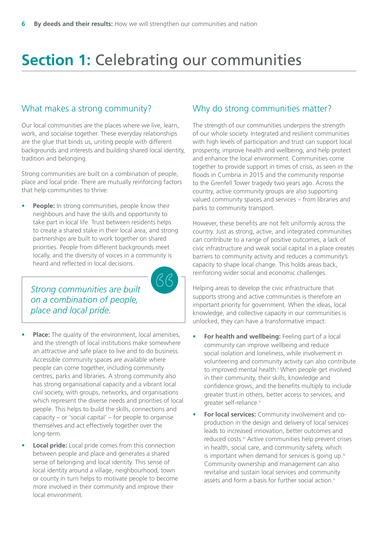# <span id="page-5-0"></span>**Section 1: Celebrating our communities**

 $\beta\beta$ 

### What makes a strong community?

Our local communities are the places where we live, learn, work, and socialise together. These everyday relationships are the glue that binds us, uniting people with different backgrounds and interests and building shared local identity, tradition and belonging.

Strong communities are built on a combination of people, place and local pride. There are mutually reinforcing factors that help communities to thrive:

**People:** In strong communities, people know their neighbours and have the skills and opportunity to take part in local life. Trust between residents helps to create a shared stake in their local area, and strong partnerships are built to work together on shared priorities. People from different backgrounds meet locally, and the diversity of voices in a community is heard and reflected in local decisions.

*Strong communities are built on a combination of people, place and local pride.*

- **Place:** The quality of the environment, local amenities, and the strength of local institutions make somewhere an attractive and safe place to live and to do business. Accessible community spaces are available where people can come together, including community centres, parks and libraries. A strong community also has strong organisational capacity and a vibrant local civil society, with groups, networks, and organisations which represent the diverse needs and priorities of local people. This helps to build the skills, connections and capacity – or 'social capital' – for people to organise themselves and act effectively together over the long-term.
- **Local pride:** Local pride comes from this connection between people and place and generates a shared sense of belonging and local identity. This sense of local identity around a village, neighbourhood, town or county in turn helps to motivate people to become more involved in their community and improve their local environment.

### Why do strong communities matter?

The strength of our communities underpins the strength of our whole society. Integrated and resilient communities with high levels of participation and trust can support local prosperity, improve health and wellbeing, and help protect and enhance the local environment. Communities come together to provide support in times of crisis, as seen in the floods in Cumbria in 2015 and the community response to the Grenfell Tower tragedy two years ago. Across the country, active community groups are also supporting valued community spaces and services – from libraries and parks to community transport.

However, these benefits are not felt uniformly across the country. Just as strong, active, and integrated communities can contribute to a range of positive outcomes, a lack of civic infrastructure and weak social capital in a place creates barriers to community activity and reduces a community's capacity to shape local change. This holds areas back, reinforcing wider social and economic challenges.

Helping areas to develop the civic infrastructure that supports strong and active communities is therefore an important priority for government. When the ideas, local knowledge, and collective capacity in our communities is unlocked, they can have a transformative impact:

- **For health and wellbeing:** Feeling part of a local community can improve wellbeing and reduce social isolation and loneliness, while involvement in volunteering and community activity can also contribute to [i](#page-23-0)mproved mental health.<sup>*I*</sup> When people get involved in their community, their skills, knowledge and confidence grows, and the benefits multiply to include greater trust in others, better access to services, and greater self-reliance.<sup>[ii](#page-23-0)</sup>
- **For local services:** Community involvement and coproduction in the design and delivery of local services leads to increased innovation, better outcomes and reduced costs.<sup>[iii](#page-23-0)</sup> Active communities help prevent crises in health, social care, and community safety, which is important when demand for services is going up.<sup>iv</sup> Community ownership and management can also revitalise and sustain local services and community assets and form a basis for further social action.<sup>[v](#page-23-0)</sup>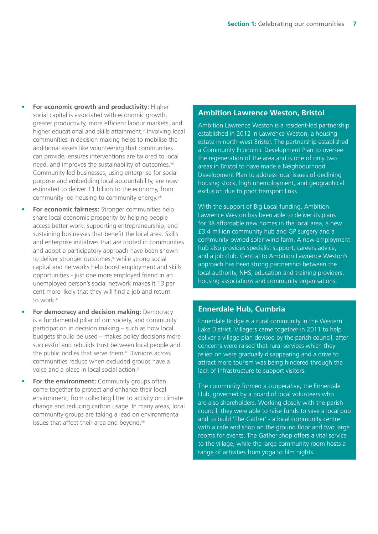- <span id="page-6-0"></span>• **For economic growth and productivity:** Higher social capital is associated with economic growth, greater productivity, more efficient labour markets, and higher educational and skills attainment.<sup>vi</sup> Involving local communities in decision making helps to mobilise the additional assets like volunteering that communities can provide, ensures interventions are tailored to local need, and improves the sustainability of outcomes.<sup>[vii](#page-23-0)</sup> Community-led businesses, using enterprise for social purpose and embedding local accountability, are now estimated to deliver £1 billion to the economy, from community-led housing to community energy[.viii](#page-23-0)
- **For economic fairness:** Stronger communities help share local economic prosperity by helping people access better work, supporting entrepreneurship, and sustaining businesses that benefit the local area. Skills and enterprise initiatives that are rooted in communities and adopt a participatory approach have been shown to deliver stronger outcomes,<sup>ix</sup> while strong social capital and networks help boost employment and skills opportunities - just one more employed friend in an unemployed person's social network makes it 13 per cent more likely that they will find a job and return to work[.x](#page-23-0)
- **For democracy and decision making:** Democracy is a fundamental pillar of our society, and community participation in decision making – such as how local budgets should be used – makes policy decisions more successful and rebuilds trust between local people and the public bodies that serve them. $x<sup>i</sup>$  Divisions across communities reduce when excluded groups have a voice and a place in local social action.[xii](#page-23-0)
- **For the environment:** Community groups often come together to protect and enhance their local environment, from collecting litter to activity on climate change and reducing carbon usage. In many areas, local community groups are taking a lead on environmental issues that affect their area and beyond.<sup>[xiii](#page-23-0)</sup>

### **Ambition Lawrence Weston, Bristol**

Ambition Lawrence Weston is a resident-led partnership established in 2012 in Lawrence Weston, a housing estate in north-west Bristol. The partnership established a Community Economic Development Plan to oversee the regeneration of the area and is one of only two areas in Bristol to have made a Neighbourhood Development Plan to address local issues of declining housing stock, high unemployment, and geographical exclusion due to poor transport links.

With the support of Big Local funding, Ambition Lawrence Weston has been able to deliver its plans for 38 affordable new homes in the local area, a new £3.4 million community hub and GP surgery and a community-owned solar wind farm. A new employment hub also provides specialist support, careers advice, and a job club. Central to Ambition Lawrence Weston's approach has been strong partnership between the local authority, NHS, education and training providers, housing associations and community organisations.

### **Ennerdale Hub, Cumbria**

Ennerdale Bridge is a rural community in the Western Lake District. Villagers came together in 2011 to help deliver a village plan devised by the parish council, after concerns were raised that rural services which they relied on were gradually disappearing and a drive to attract more tourism was being hindered through the lack of infrastructure to support visitors.

The community formed a cooperative, the Ennerdale Hub, governed by a board of local volunteers who are also shareholders. Working closely with the parish council, they were able to raise funds to save a local pub and to build 'The Gather' - a local community centre with a cafe and shop on the ground floor and two large rooms for events. The Gather shop offers a vital service to the village, while the large community room hosts a range of activities from yoga to film nights.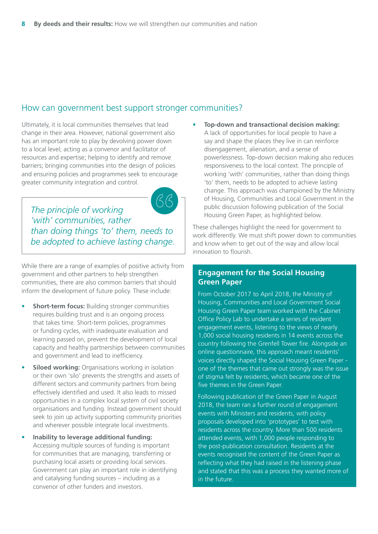### How can government best support stronger communities?

Ultimately, it is local communities themselves that lead change in their area. However, national government also has an important role to play by devolving power down to a local level; acting as a convenor and facilitator of resources and expertise; helping to identify and remove barriers; bringing communities into the design of policies and ensuring policies and programmes seek to encourage greater community integration and control.

*The principle of working 'with' communities, rather than doing things 'to' them, needs to be adopted to achieve lasting change.*

While there are a range of examples of positive activity from government and other partners to help strengthen communities, there are also common barriers that should inform the development of future policy. These include:

- **Short-term focus: Building stronger communities** requires building trust and is an ongoing process that takes time. Short-term policies, programmes or funding cycles, with inadequate evaluation and learning passed on, prevent the development of local capacity and healthy partnerships between communities and government and lead to inefficiency.
- **Siloed working:** Organisations working in isolation or their own 'silo' prevents the strengths and assets of different sectors and community partners from being effectively identified and used. It also leads to missed opportunities in a complex local system of civil society organisations and funding. Instead government should seek to join up activity supporting community priorities and wherever possible integrate local investments.
- **Inability to leverage additional funding:** Accessing multiple sources of funding is important for communities that are managing, transferring or purchasing local assets or providing local services. Government can play an important role in identifying and catalysing funding sources – including as a convenor of other funders and investors.

• **Top-down and transactional decision making:** A lack of opportunities for local people to have a say and shape the places they live in can reinforce disengagement, alienation, and a sense of powerlessness. Top-down decision making also reduces responsiveness to the local context. The principle of working 'with' communities, rather than doing things 'to' them, needs to be adopted to achieve lasting change. This approach was championed by the Ministry of Housing, Communities and Local Government in the public discussion following publication of the Social Housing Green Paper, as highlighted below.

These challenges highlight the need for government to work differently. We must shift power down to communities and know when to get out of the way and allow local innovation to flourish.

### **Engagement for the Social Housing Green Paper**

From October 2017 to April 2018, the Ministry of Housing, Communities and Local Government Social Housing Green Paper team worked with the Cabinet Office Policy Lab to undertake a series of resident engagement events, listening to the views of nearly 1,000 social housing residents in 14 events across the country following the Grenfell Tower fire. Alongside an online questionnaire, this approach meant residents' voices directly shaped the Social Housing Green Paper one of the themes that came out strongly was the issue of stigma felt by residents, which became one of the five themes in the Green Paper.

Following publication of the Green Paper in August 2018, the team ran a further round of engagement events with Ministers and residents, with policy proposals developed into 'prototypes' to test with residents across the country. More than 500 residents attended events, with 1,000 people responding to the post-publication consultation. Residents at the events recognised the content of the Green Paper as reflecting what they had raised in the listening phase and stated that this was a process they wanted more of in the future.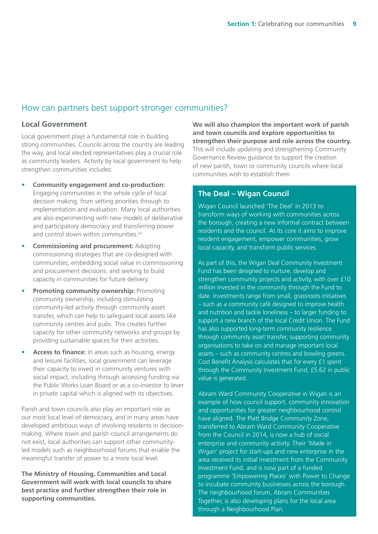### <span id="page-8-0"></span>How can partners best support stronger communities?

### **Local Government**

Local government plays a fundamental role in building strong communities. Councils across the country are leading the way, and local elected representatives play a crucial role as community leaders. Activity by local government to help strengthen communities includes:

- **Community engagement and co-production:**  Engaging communities in the whole cycle of local decision making, from setting priorities through to implementation and evaluation. Many local authorities are also experimenting with new models of deliberative and participatory democracy and transferring power and control down within communities[.xiv](#page-23-0)
- **Commissioning and procurement:** Adopting commissioning strategies that are co-designed with communities; embedding social value in commissioning and procurement decisions; and seeking to build capacity in communities for future delivery.
- **Promoting community ownership: Promoting** community ownership, including stimulating community-led activity through community asset transfer, which can help to safeguard local assets like community centres and pubs. This creates further capacity for other community networks and groups by providing sustainable spaces for their activities.
- Access to finance: In areas such as housing, energy and leisure facilities, local government can leverage their capacity to invest in community ventures with social impact, including through accessing funding via the Public Works Loan Board or as a co-investor to lever in private capital which is aligned with its objectives.

Parish and town councils also play an important role as our most local level of democracy, and in many areas have developed ambitious ways of involving residents in decisionmaking. Where town and parish council arrangements do not exist, local authorities can support other communityled models such as neighbourhood forums that enable the meaningful transfer of power to a more local level.

**The Ministry of Housing, Communities and Local Government will work with local councils to share best practice and further strengthen their role in supporting communities.** 

**We will also champion the important work of parish and town councils and explore opportunities to strengthen their purpose and role across the country.**  This will include updating and strengthening Community Governance Review guidance to support the creation of new parish, town or community councils where local communities wish to establish them.

### **The Deal – Wigan Council**

Wigan Council launched 'The Deal' in 2013 to transform ways of working with communities across the borough, creating a new informal contract between residents and the council. At its core it aims to improve resident engagement, empower communities, grow local capacity, and transform public services.

As part of this, the Wigan Deal Community Investment Fund has been designed to nurture, develop and strengthen community projects and activity, with over £10 million invested in the community through the Fund to date. Investments range from small, grassroots initiatives – such as a community café designed to improve health and nutrition and tackle loneliness – to larger funding to support a new branch of the local Credit Union. The Fund has also supported long-term community resilience through community asset transfer, supporting community organisations to take on and manage important local assets – such as community centres and bowling greens. Cost Benefit Analysis calculates that for every £1 spent through the Community Investment Fund, £5.62 in public value is generated.

Abram Ward Community Cooperative in Wigan is an example of how council support, community innovation and opportunities for greater neighbourhood control have aligned. The Platt Bridge Community Zone, transferred to Abram Ward Community Cooperative from the Council in 2014, is now a hub of social enterprise and community activity. Their 'Made in Wigan' project for start-ups and new enterprise in the area received its initial investment from the Community Investment Fund, and is now part of a funded programme 'Empowering Places' with Power to Change to incubate community businesses across the borough. The neighbourhood forum, Abram Communities Together, is also developing plans for the local area through a Neighbourhood Plan.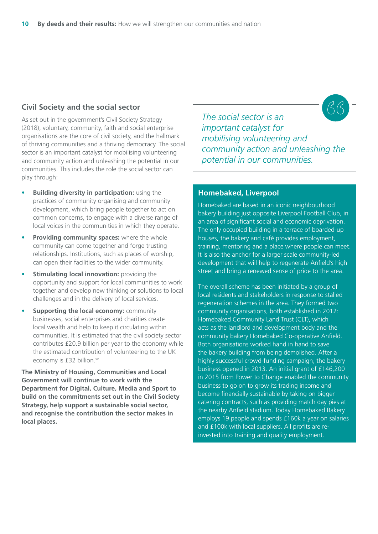### <span id="page-9-0"></span>**Civil Society and the social sector**

As set out in the government's Civil Society Strategy (2018), voluntary, community, faith and social enterprise organisations are the core of civil society, and the hallmark of thriving communities and a thriving democracy. The social sector is an important catalyst for mobilising volunteering and community action and unleashing the potential in our communities. This includes the role the social sector can play through:

- **Building diversity in participation:** using the practices of community organising and community development, which bring people together to act on common concerns, to engage with a diverse range of local voices in the communities in which they operate.
- **Providing community spaces:** where the whole community can come together and forge trusting relationships. Institutions, such as places of worship, can open their facilities to the wider community.
- **Stimulating local innovation:** providing the opportunity and support for local communities to work together and develop new thinking or solutions to local challenges and in the delivery of local services.
- **Supporting the local economy: community** businesses, social enterprises and charities create local wealth and help to keep it circulating within communities. It is estimated that the civil society sector contributes £20.9 billion per year to the economy while the estimated contribution of volunteering to the UK economy is £32 billion[.xv](#page-23-0)

**The Ministry of Housing, Communities and Local Government will continue to work with the Department for Digital, Culture, Media and Sport to build on the commitments set out in the Civil Society Strategy, help support a sustainable social sector, and recognise the contribution the sector makes in local places.** 

*The social sector is an important catalyst for mobilising volunteering and community action and unleashing the potential in our communities.*

### **Homebaked, Liverpool**

Homebaked are based in an iconic neighbourhood bakery building just opposite Liverpool Football Club, in an area of significant social and economic deprivation. The only occupied building in a terrace of boarded-up houses, the bakery and café provides employment, training, mentoring and a place where people can meet. It is also the anchor for a larger scale community-led development that will help to regenerate Anfield's high street and bring a renewed sense of pride to the area.

The overall scheme has been initiated by a group of local residents and stakeholders in response to stalled regeneration schemes in the area. They formed two community organisations, both established in 2012: Homebaked Community Land Trust (CLT), which acts as the landlord and development body and the community bakery Homebaked Co-operative Anfield. Both organisations worked hand in hand to save the bakery building from being demolished. After a highly successful crowd-funding campaign, the bakery business opened in 2013. An initial grant of £146,200 in 2015 from Power to Change enabled the community business to go on to grow its trading income and become financially sustainable by taking on bigger catering contracts, such as providing match day pies at the nearby Anfield stadium. Today Homebaked Bakery employs 19 people and spends £160k a year on salaries and £100k with local suppliers. All profits are reinvested into training and quality employment.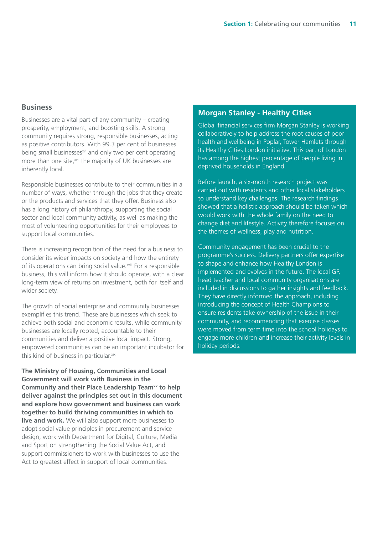### <span id="page-10-0"></span>**Business**

Businesses are a vital part of any community – creating prosperity, employment, and boosting skills. A strong community requires strong, responsible businesses, acting as positive contributors. With 99.3 per cent of businesses being small businesses<sup>[xvi](#page-23-0)</sup> and only two per cent operating more than one site,<sup>xvii</sup> the majority of UK businesses are inherently local.

Responsible businesses contribute to their communities in a number of ways, whether through the jobs that they create or the products and services that they offer. Business also has a long history of philanthropy, supporting the social sector and local community activity, as well as making the most of volunteering opportunities for their employees to support local communities.

There is increasing recognition of the need for a business to consider its wider impacts on society and how the entirety of its operations can bring social value.<sup>xviii</sup> For a responsible business, this will inform how it should operate, with a clear long-term view of returns on investment, both for itself and wider society.

The growth of social enterprise and community businesses exemplifies this trend. These are businesses which seek to achieve both social and economic results, while community businesses are locally rooted, accountable to their communities and deliver a positive local impact. Strong, empowered communities can be an important incubator for this kind of business in particular[.xix](#page-23-0)

**The Ministry of Housing, Communities and Local Government will work with Business in the Community and their Place Leadership Team[xx](#page-23-0) to help deliver against the principles set out in this document and explore how government and business can work together to build thriving communities in which to live and work.** We will also support more businesses to adopt social value principles in procurement and service design, work with Department for Digital, Culture, Media and Sport on strengthening the Social Value Act, and support commissioners to work with businesses to use the Act to greatest effect in support of local communities.

### **Morgan Stanley - Healthy Cities**

Global financial services firm Morgan Stanley is working collaboratively to help address the root causes of poor health and wellbeing in Poplar, Tower Hamlets through its Healthy Cities London initiative. This part of London has among the highest percentage of people living in deprived households in England.

Before launch, a six-month research project was carried out with residents and other local stakeholders to understand key challenges. The research findings showed that a holistic approach should be taken which would work with the whole family on the need to change diet and lifestyle. Activity therefore focuses on the themes of wellness, play and nutrition.

Community engagement has been crucial to the programme's success. Delivery partners offer expertise to shape and enhance how Healthy London is implemented and evolves in the future. The local GP, head teacher and local community organisations are included in discussions to gather insights and feedback. They have directly informed the approach, including introducing the concept of Health Champions to ensure residents take ownership of the issue in their community, and recommending that exercise classes were moved from term time into the school holidays to engage more children and increase their activity levels in holiday periods.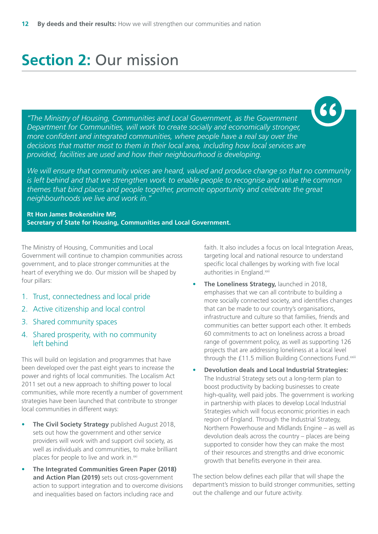# <span id="page-11-0"></span>**Section 2:** Our mission

*"The Ministry of Housing, Communities and Local Government, as the Government Department for Communities, will work to create socially and economically stronger, more confident and integrated communities, where people have a real say over the decisions that matter most to them in their local area, including how local services are provided, facilities are used and how their neighbourhood is developing.* 

*We will ensure that community voices are heard, valued and produce change so that no community is left behind and that we strengthen work to enable people to recognise and value the common themes that bind places and people together, promote opportunity and celebrate the great neighbourhoods we live and work in."* 

**Rt Hon James Brokenshire MP, Secretary of State for Housing, Communities and Local Government.** 

The Ministry of Housing, Communities and Local Government will continue to champion communities across government, and to place stronger communities at the heart of everything we do. Our mission will be shaped by four pillars:

- 1. Trust, connectedness and local pride
- 2. Active citizenship and local control
- 3. Shared community spaces
- 4. Shared prosperity, with no community left behind

This will build on legislation and programmes that have been developed over the past eight years to increase the power and rights of local communities. The Localism Act 2011 set out a new approach to shifting power to local communities, while more recently a number of government strategies have been launched that contribute to stronger local communities in different ways:

- **The Civil Society Strategy** published August 2018, sets out how the government and other service providers will work with and support civil society, as well as individuals and communities, to make brilliant places for people to live and work in.<sup>[xxi](#page-23-0)</sup>
- **The Integrated Communities Green Paper (2018) and Action Plan (2019)** sets out cross-government action to support integration and to overcome divisions and inequalities based on factors including race and

faith. It also includes a focus on local Integration Areas, targeting local and national resource to understand specific local challenges by working with five local authorities in England[.xxii](#page-24-0)

- **The Loneliness Strategy,** launched in 2018, emphasises that we can all contribute to building a more socially connected society, and identifies changes that can be made to our country's organisations, infrastructure and culture so that families, friends and communities can better support each other. It embeds 60 commitments to act on loneliness across a broad range of government policy, as well as supporting 126 projects that are addressing loneliness at a local level through the £11.5 million Building Connections Fund.<sup>[xxiii](#page-24-0)</sup>
- **Devolution deals and Local Industrial Strategies:**  The Industrial Strategy sets out a long-term plan to boost productivity by backing businesses to create high-quality, well paid jobs. The government is working in partnership with places to develop Local Industrial Strategies which will focus economic priorities in each region of England. Through the Industrial Strategy, Northern Powerhouse and Midlands Engine – as well as devolution deals across the country – places are being supported to consider how they can make the most of their resources and strengths and drive economic growth that benefits everyone in their area.

The section below defines each pillar that will shape the department's mission to build stronger communities, setting out the challenge and our future activity.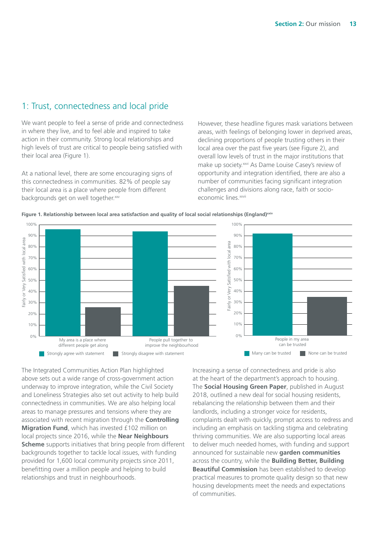### <span id="page-12-0"></span>1: Trust, connectedness and local pride

We want people to feel a sense of pride and connectedness in where they live, and to feel able and inspired to take action in their community. Strong local relationships and high levels of trust are critical to people being satisfied with their local area (Figure 1).

At a national level, there are some encouraging signs of this connectedness in communities. 82% of people say their local area is a place where people from different backgrounds get on well together.[xxv](#page-24-0)

However, these headline figures mask variations between areas, with feelings of belonging lower in deprived areas, declining proportions of people trusting others in their local area over the past five years (see Figure 2), and overall low levels of trust in the major institutions that make up society.<sup>xxvi</sup> As Dame Louise Casey's review of opportunity and integration identified, there are also a number of communities facing significant integration challenges and divisions along race, faith or socioeconomic lines.<sup>xxvii</sup>



**Figure 1. Relationship between local area satisfaction and quality of local social relationships (England)[xxiv](#page-24-0)**

The Integrated Communities Action Plan highlighted above sets out a wide range of cross-government action underway to improve integration, while the Civil Society and Loneliness Strategies also set out activity to help build connectedness in communities. We are also helping local areas to manage pressures and tensions where they are associated with recent migration through the **Controlling Migration Fund**, which has invested £102 million on local projects since 2016, while the **Near Neighbours Scheme** supports initiatives that bring people from different backgrounds together to tackle local issues, with funding provided for 1,600 local community projects since 2011, benefitting over a million people and helping to build relationships and trust in neighbourhoods.

Increasing a sense of connectedness and pride is also at the heart of the department's approach to housing. The **Social Housing Green Paper**, published in August 2018, outlined a new deal for social housing residents, rebalancing the relationship between them and their landlords, including a stronger voice for residents, complaints dealt with quickly, prompt access to redress and including an emphasis on tackling stigma and celebrating thriving communities. We are also supporting local areas to deliver much needed homes, with funding and support announced for sustainable new **garden communities**  across the country, while the **Building Better, Building Beautiful Commission** has been established to develop practical measures to promote quality design so that new housing developments meet the needs and expectations of communities.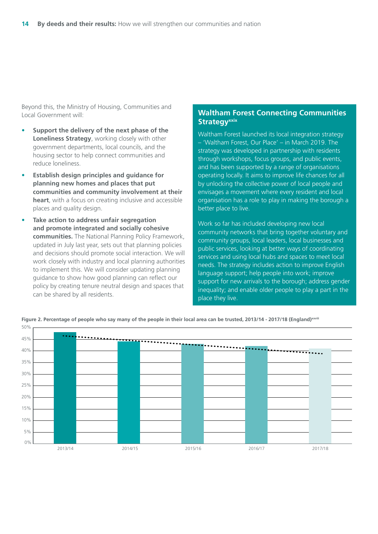<span id="page-13-0"></span>Beyond this, the Ministry of Housing, Communities and Local Government will:

- **Support the delivery of the next phase of the Loneliness Strategy**, working closely with other government departments, local councils, and the housing sector to help connect communities and reduce loneliness.
- **Establish design principles and guidance for planning new homes and places that put communities and community involvement at their heart**, with a focus on creating inclusive and accessible places and quality design.
- **Take action to address unfair segregation and promote integrated and socially cohesive communities.** The National Planning Policy Framework, updated in July last year, sets out that planning policies and decisions should promote social interaction. We will work closely with industry and local planning authorities to implement this. We will consider updating planning guidance to show how good planning can reflect our policy by creating tenure neutral design and spaces that can be shared by all residents.

### **Waltham Forest Connecting Communities Strategy**<sup>xxix</sup>

Waltham Forest launched its local integration strategy – 'Waltham Forest, Our Place' – in March 2019. The strategy was developed in partnership with residents through workshops, focus groups, and public events, and has been supported by a range of organisations operating locally. It aims to improve life chances for all by unlocking the collective power of local people and envisages a movement where every resident and local organisation has a role to play in making the borough a better place to live.

Work so far has included developing new local community networks that bring together voluntary and community groups, local leaders, local businesses and public services, looking at better ways of coordinating services and using local hubs and spaces to meet local needs. The strategy includes action to improve English language support; help people into work; improve support for new arrivals to the borough; address gender inequality; and enable older people to play a part in the place they live.



**Figure 2. Percentage of people who say many of the people in their local area can be trusted, 2013/14 - 2017/18 (England[\)xxviii](#page-24-0)**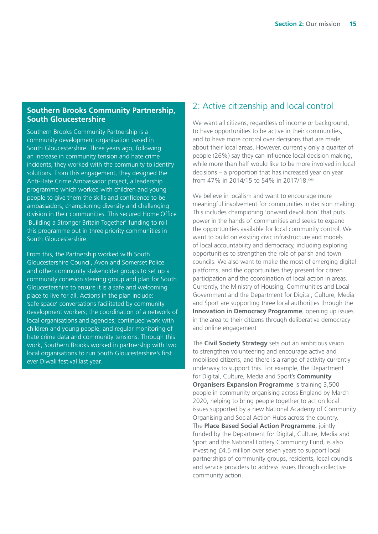### <span id="page-14-0"></span>**Southern Brooks Community Partnership, South Gloucestershire**

Southern Brooks Community Partnership is a community development organisation based in South Gloucestershire. Three years ago, following an increase in community tension and hate crime incidents, they worked with the community to identify solutions. From this engagement, they designed the Anti-Hate Crime Ambassador project, a leadership programme which worked with children and young people to give them the skills and confidence to be ambassadors, championing diversity and challenging division in their communities. This secured Home Office 'Building a Stronger Britain Together' funding to roll this programme out in three priority communities in South Gloucestershire.

From this, the Partnership worked with South Gloucestershire Council, Avon and Somerset Police and other community stakeholder groups to set up a community cohesion steering group and plan for South Gloucestershire to ensure it is a safe and welcoming place to live for all. Actions in the plan include: 'safe space' conversations facilitated by community development workers; the coordination of a network of local organisations and agencies; continued work with children and young people; and regular monitoring of hate crime data and community tensions. Through this work, Southern Brooks worked in partnership with two local organisations to run South Gloucestershire's first ever Diwali festival last year.

### 2: Active citizenship and local control

We want all citizens, regardless of income or background, to have opportunities to be active in their communities, and to have more control over decisions that are made about their local areas. However, currently only a quarter of people (26%) say they can influence local decision making, while more than half would like to be more involved in local decisions – a proportion that has increased year on year from 47% in 2014/15 to 54% in 2017/18. xxix

We believe in localism and want to encourage more meaningful involvement for communities in decision making. This includes championing 'onward devolution' that puts power in the hands of communities and seeks to expand the opportunities available for local community control. We want to build on existing civic infrastructure and models of local accountability and democracy, including exploring opportunities to strengthen the role of parish and town councils. We also want to make the most of emerging digital platforms, and the opportunities they present for citizen participation and the coordination of local action in areas. Currently, the Ministry of Housing, Communities and Local Government and the Department for Digital, Culture, Media and Sport are supporting three local authorities through the **Innovation in Democracy Programme**, opening up issues in the area to their citizens through deliberative democracy and online engagement

The **Civil Society Strategy** sets out an ambitious vision to strengthen volunteering and encourage active and mobilised citizens, and there is a range of activity currently underway to support this. For example, the Department for Digital, Culture, Media and Sport's **Community Organisers Expansion Programme** is training 3,500 people in community organising across England by March 2020, helping to bring people together to act on local issues supported by a new National Academy of Community Organising and Social Action Hubs across the country. The **Place Based Social Action Programme**, jointly funded by the Department for Digital, Culture, Media and Sport and the National Lottery Community Fund, is also investing £4.5 million over seven years to support local partnerships of community groups, residents, local councils and service providers to address issues through collective community action.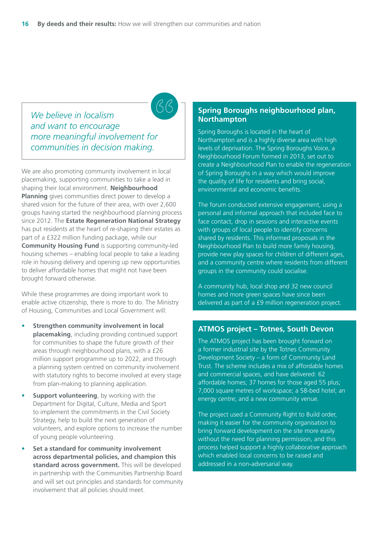*We believe in localism and want to encourage more meaningful involvement for communities in decision making.*

We are also promoting community involvement in local placemaking, supporting communities to take a lead in shaping their local environment. **Neighbourhood Planning** gives communities direct power to develop a shared vision for the future of their area, with over 2,600 groups having started the neighbourhood planning process since 2012. The **Estate Regeneration National Strategy**  has put residents at the heart of re-shaping their estates as part of a £322 million funding package, while our **Community Housing Fund** is supporting community-led housing schemes – enabling local people to take a leading role in housing delivery and opening up new opportunities to deliver affordable homes that might not have been brought forward otherwise.

While these programmes are doing important work to enable active citizenship, there is more to do. The Ministry of Housing, Communities and Local Government will:

- **Strengthen community involvement in local placemaking**, including providing continued support for communities to shape the future growth of their areas through neighbourhood plans, with a £26 million support programme up to 2022, and through a planning system centred on community involvement with statutory rights to become involved at every stage from plan-making to planning application.
- **Support volunteering**, by working with the Department for Digital, Culture, Media and Sport to implement the commitments in the Civil Society Strategy, help to build the next generation of volunteers, and explore options to increase the number of young people volunteering.
- **Set a standard for community involvement across departmental policies, and champion this standard across government.** This will be developed in partnership with the Communities Partnership Board and will set out principles and standards for community involvement that all policies should meet.

### **Spring Boroughs neighbourhood plan, Northampton**

Spring Boroughs is located in the heart of Northampton and is a highly diverse area with high levels of deprivation. The Spring Boroughs Voice, a Neighbourhood Forum formed in 2013, set out to create a Neighbourhood Plan to enable the regeneration of Spring Boroughs in a way which would improve the quality of life for residents and bring social, environmental and economic benefits.

The forum conducted extensive engagement, using a personal and informal approach that included face to face contact, drop in sessions and interactive events with groups of local people to identify concerns shared by residents. This informed proposals in the Neighbourhood Plan to build more family housing, provide new play spaces for children of different ages, and a community centre where residents from different groups in the community could socialise.

A community hub, local shop and 32 new council homes and more green spaces have since been delivered as part of a £9 million regeneration project.

#### **ATMOS project – Totnes, South Devon**

The ATMOS project has been brought forward on a former industrial site by the Totnes Community Development Society – a form of Community Land Trust. The scheme includes a mix of affordable homes and commercial spaces, and have delivered: 62 affordable homes; 37 homes for those aged 55 plus; 7,000 square metres of workspace; a 58-bed hotel; an energy centre; and a new community venue.

The project used a Community Right to Build order, making it easier for the community organisation to bring forward development on the site more easily without the need for planning permission, and this process helped support a highly collaborative approach which enabled local concerns to be raised and addressed in a non-adversarial way.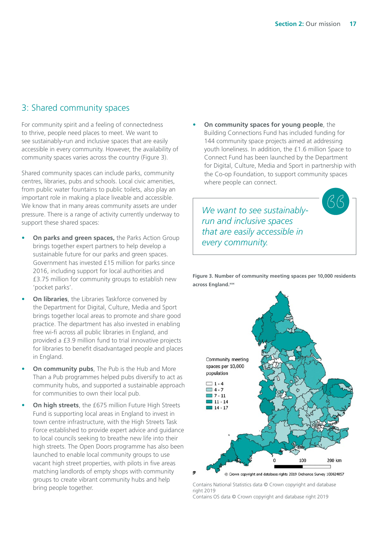### <span id="page-16-0"></span>3: Shared community spaces

For community spirit and a feeling of connectedness to thrive, people need places to meet. We want to see sustainably-run and inclusive spaces that are easily accessible in every community. However, the availability of community spaces varies across the country (Figure 3).

Shared community spaces can include parks, community centres, libraries, pubs and schools. Local civic amenities, from public water fountains to public toilets, also play an important role in making a place liveable and accessible. We know that in many areas community assets are under pressure. There is a range of activity currently underway to support these shared spaces:

- **On parks and green spaces,** the Parks Action Group brings together expert partners to help develop a sustainable future for our parks and green spaces. Government has invested £15 million for parks since 2016, including support for local authorities and £3.75 million for community groups to establish new 'pocket parks'.
- **On libraries**, the Libraries Taskforce convened by the Department for Digital, Culture, Media and Sport brings together local areas to promote and share good practice. The department has also invested in enabling free wi-fi across all public libraries in England, and provided a £3.9 million fund to trial innovative projects for libraries to benefit disadvantaged people and places in England.
- **On community pubs**, The Pub is the Hub and More Than a Pub programmes helped pubs diversify to act as community hubs, and supported a sustainable approach for communities to own their local pub.
- **On high streets**, the £675 million Future High Streets Fund is supporting local areas in England to invest in town centre infrastructure, with the High Streets Task Force established to provide expert advice and guidance to local councils seeking to breathe new life into their high streets. The Open Doors programme has also been launched to enable local community groups to use vacant high street properties, with pilots in five areas matching landlords of empty shops with community groups to create vibrant community hubs and help bring people together.

• **On community spaces for young people**, the Building Connections Fund has included funding for 144 community space projects aimed at addressing youth loneliness. In addition, the £1.6 million Space to Connect Fund has been launched by the Department for Digital, Culture, Media and Sport in partnership with the Co-op Foundation, to support community spaces where people can connect.

*We want to see sustainablyrun and inclusive spaces that are easily accessible in every community.*

**Figure 3. Number of community meeting spaces per 10,000 residents across England.[xxx](#page-24-0)**



Contains National Statistics data © Crown copyright and database right 2019

Contains OS data © Crown copyright and database right 2019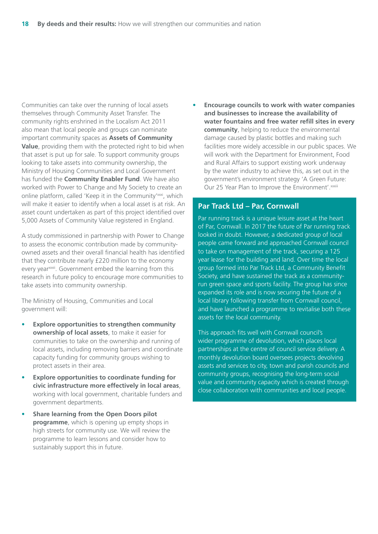<span id="page-17-0"></span>Communities can take over the running of local assets themselves through Community Asset Transfer. The community rights enshrined in the Localism Act 2011 also mean that local people and groups can nominate important community spaces as **Assets of Community Value**, providing them with the protected right to bid when that asset is put up for sale. To support community groups looking to take assets into community ownership, the Ministry of Housing Communities and Local Government has funded the **Community Enabler Fund**. We have also worked with Power to Change and My Society to create an online platform, called 'Keep it in the Community'<sup>xxxi</sup>, which will make it easier to identify when a local asset is at risk. An asset count undertaken as part of this project identified over 5,000 Assets of Community Value registered in England.

A study commissioned in partnership with Power to Change to assess the economic contribution made by communityowned assets and their overall financial health has identified that they contribute nearly £220 million to the economy every year<sup>[xxxii](#page-24-0)</sup>. Government embed the learning from this research in future policy to encourage more communities to take assets into community ownership.

The Ministry of Housing, Communities and Local government will:

- **Explore opportunities to strengthen community ownership of local assets**, to make it easier for communities to take on the ownership and running of local assets, including removing barriers and coordinate capacity funding for community groups wishing to protect assets in their area.
- **Explore opportunities to coordinate funding for civic infrastructure more effectively in local areas**, working with local government, charitable funders and government departments.
- **Share learning from the Open Doors pilot programme**, which is opening up empty shops in high streets for community use. We will review the programme to learn lessons and consider how to sustainably support this in future.

• **Encourage councils to work with water companies and businesses to increase the availability of water fountains and free water refill sites in every community**, helping to reduce the environmental damage caused by plastic bottles and making such facilities more widely accessible in our public spaces. We will work with the Department for Environment, Food and Rural Affairs to support existing work underway by the water industry to achieve this, as set out in the government's environment strategy 'A Green Future: Our 25 Year Plan to Improve the Environment'. [xxxiii](#page-24-0)

#### **Par Track Ltd – Par, Cornwall**

Par running track is a unique leisure asset at the heart of Par, Cornwall. In 2017 the future of Par running track looked in doubt. However, a dedicated group of local people came forward and approached Cornwall council to take on management of the track, securing a 125 year lease for the building and land. Over time the local group formed into Par Track Ltd, a Community Benefit Society, and have sustained the track as a communityrun green space and sports facility. The group has since expanded its role and is now securing the future of a local library following transfer from Cornwall council, and have launched a programme to revitalise both these assets for the local community.

This approach fits well with Cornwall council's wider programme of devolution, which places local partnerships at the centre of council service delivery. A monthly devolution board oversees projects devolving assets and services to city, town and parish councils and community groups, recognising the long-term social value and community capacity which is created through close collaboration with communities and local people.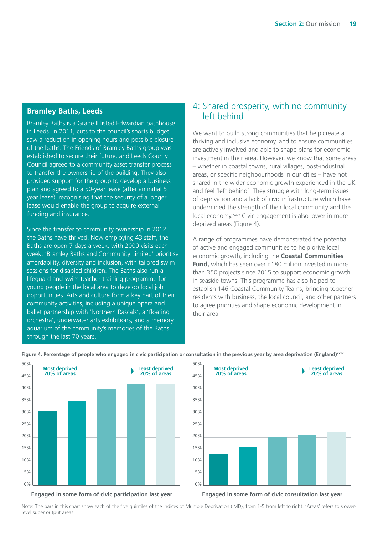### <span id="page-18-0"></span>**Bramley Baths, Leeds**

Bramley Baths is a Grade II listed Edwardian bathhouse in Leeds. In 2011, cuts to the council's sports budget saw a reduction in opening hours and possible closure of the baths. The Friends of Bramley Baths group was established to secure their future, and Leeds County Council agreed to a community asset transfer process to transfer the ownership of the building. They also provided support for the group to develop a business plan and agreed to a 50-year lease (after an initial 5 year lease), recognising that the security of a longer lease would enable the group to acquire external funding and insurance.

Since the transfer to community ownership in 2012, the Baths have thrived. Now employing 43 staff, the Baths are open 7 days a week, with 2000 visits each week. 'Bramley Baths and Community Limited' prioritise affordability, diversity and inclusion, with tailored swim sessions for disabled children. The Baths also run a lifeguard and swim teacher training programme for young people in the local area to develop local job opportunities. Arts and culture form a key part of their community activities, including a unique opera and ballet partnership with 'Northern Rascals', a 'floating orchestra', underwater arts exhibitions, and a memory aquarium of the community's memories of the Baths through the last 70 years.

### 4: Shared prosperity, with no community left behind

We want to build strong communities that help create a thriving and inclusive economy, and to ensure communities are actively involved and able to shape plans for economic investment in their area. However, we know that some areas – whether in coastal towns, rural villages, post-industrial areas, or specific neighbourhoods in our cities – have not shared in the wider economic growth experienced in the UK and feel 'left behind'. They struggle with long-term issues of deprivation and a lack of civic infrastructure which have undermined the strength of their local community and the local economy.<sup>[xxxiv](#page-24-0)</sup> Civic engagement is also lower in more deprived areas (Figure 4).

A range of programmes have demonstrated the potential of active and engaged communities to help drive local economic growth, including the **Coastal Communities Fund,** which has seen over £180 million invested in more than 350 projects since 2015 to support economic growth in seaside towns. This programme has also helped to establish 146 Coastal Community Teams, bringing together residents with business, the local council, and other partners to agree priorities and shape economic development in their area.



**Figure 4. Percentage of people who engaged in civic participation or consultation in the previous year by area deprivation (England)[xxxv](#page-24-0)**

50%



**Engaged in some form of civic participation last year**

**Engaged in some form of civic consultation last year**

Note: The bars in this chart show each of the five quintiles of the Indices of Multiple Deprivation (IMD), from 1-5 from left to right. 'Areas' refers to slowerlevel super output areas.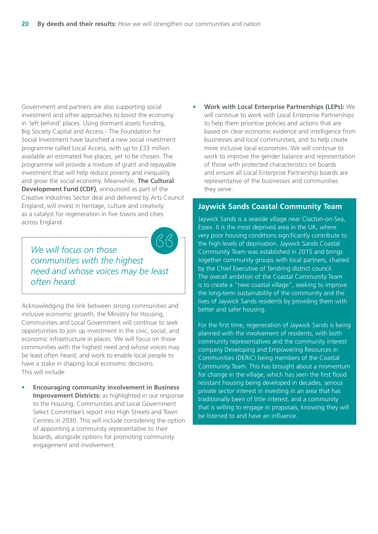Government and partners are also supporting social investment and other approaches to boost the economy in 'left behind' places. Using dormant assets funding, Big Society Capital and Access - The Foundation for Social Investment have launched a new social investment programme called Local Access, with up to £33 million available an estimated five places, yet to be chosen. The programme will provide a mixture of grant and repayable investment that will help reduce poverty and inequality and grow the social economy. Meanwhile, **The Cultural Development Fund (CDF)**, announced as part of the Creative Industries Sector deal and delivered by Arts Council England, will invest in heritage, culture and creativity as a catalyst for regeneration in five towns and cities across England.



*We will focus on those communities with the highest need and whose voices may be least often heard.*

Acknowledging the link between strong communities and inclusive economic growth, the Ministry for Housing, Communities and Local Government will continue to seek opportunities to join up investment in the civic, social, and economic infrastructure in places. We will focus on those communities with the highest need and whose voices may be least often heard, and work to enable local people to have a stake in shaping local economic decisions. This will include:

• **Encouraging community involvement in Business Improvement Districts:** as highlighted in our response to the Housing, Communities and Local Government Select Committee's report into High Streets and Town Centres in 2030. This will include considering the option of appointing a community representative to their boards, alongside options for promoting community engagement and involvement.

• **Work with Local Enterprise Partnerships (LEPs):** We will continue to work with Local Enterprise Partnerships to help them prioritise policies and actions that are based on clear economic evidence and intelligence from businesses and local communities, and to help create more inclusive local economies. We will continue to work to improve the gender balance and representation of those with protected characteristics on boards and ensure all Local Enterprise Partnership boards are representative of the businesses and communities they serve.

#### **Jaywick Sands Coastal Community Team**

Jaywick Sands is a seaside village near Clacton-on-Sea, Essex. It is the most deprived area in the UK, where very poor housing conditions significantly contribute to the high levels of deprivation. Jaywick Sands Coastal Community Team was established in 2015 and brings together community groups with local partners, chaired by the Chief Executive of Tendring district council. The overall ambition of the Coastal Community Team is to create a "new coastal village", seeking to improve the long-term sustainability of the community and the lives of Jaywick Sands residents by providing them with better and safer housing.

For the first time, regeneration of Jaywick Sands is being planned with the involvement of residents, with both community representatives and the community interest company Developing and Empowering Resources in Communities (DERiC) being members of the Coastal Community Team. This has brought about a momentum for change in the village, which has seen the first flood resistant housing being developed in decades, serious private sector interest in investing in an area that has traditionally been of little interest, and a community that is willing to engage in proposals, knowing they will be listened to and have an influence.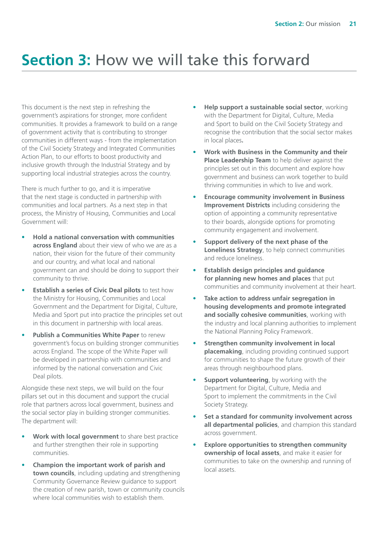# **Section 3:** How we will take this forward

This document is the next step in refreshing the government's aspirations for stronger, more confident communities. It provides a framework to build on a range of government activity that is contributing to stronger communities in different ways - from the implementation of the Civil Society Strategy and Integrated Communities Action Plan, to our efforts to boost productivity and inclusive growth through the Industrial Strategy and by supporting local industrial strategies across the country.

There is much further to go, and it is imperative that the next stage is conducted in partnership with communities and local partners. As a next step in that process, the Ministry of Housing, Communities and Local Government will:

- **Hold a national conversation with communities across England** about their view of who we are as a nation, their vision for the future of their community and our country, and what local and national government can and should be doing to support their community to thrive.
- **Establish a series of Civic Deal pilots** to test how the Ministry for Housing, Communities and Local Government and the Department for Digital, Culture, Media and Sport put into practice the principles set out in this document in partnership with local areas.
- **Publish a Communities White Paper** to renew government's focus on building stronger communities across England. The scope of the White Paper will be developed in partnership with communities and informed by the national conversation and Civic Deal pilots.

Alongside these next steps, we will build on the four pillars set out in this document and support the crucial role that partners across local government, business and the social sector play in building stronger communities. The department will:

- **Work with local government** to share best practice and further strengthen their role in supporting communities.
- **Champion the important work of parish and town councils**, including updating and strengthening Community Governance Review guidance to support the creation of new parish, town or community councils where local communities wish to establish them.
- **Help support a sustainable social sector**, working with the Department for Digital, Culture, Media and Sport to build on the Civil Society Strategy and recognise the contribution that the social sector makes in local places**.**
- **Work with Business in the Community and their Place Leadership Team** to help deliver against the principles set out in this document and explore how government and business can work together to build thriving communities in which to live and work.
- **Encourage community involvement in Business Improvement Districts** including considering the option of appointing a community representative to their boards, alongside options for promoting community engagement and involvement.
- **Support delivery of the next phase of the Loneliness Strategy**, to help connect communities and reduce loneliness.
- **Establish design principles and guidance for planning new homes and places** that put communities and community involvement at their heart.
- **Take action to address unfair segregation in housing developments and promote integrated and socially cohesive communities**, working with the industry and local planning authorities to implement the National Planning Policy Framework.
- **Strengthen community involvement in local placemaking**, including providing continued support for communities to shape the future growth of their areas through neighbourhood plans.
- **Support volunteering**, by working with the Department for Digital, Culture, Media and Sport to implement the commitments in the Civil Society Strategy.
- **Set a standard for community involvement across all departmental policies**, and champion this standard across government.
- **Explore opportunities to strengthen community ownership of local assets**, and make it easier for communities to take on the ownership and running of local assets.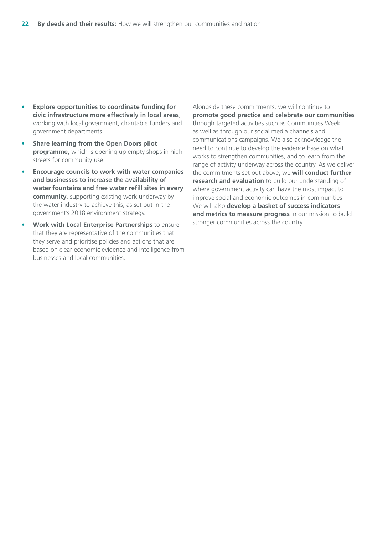- **Explore opportunities to coordinate funding for civic infrastructure more effectively in local areas**, working with local government, charitable funders and government departments.
- **Share learning from the Open Doors pilot programme**, which is opening up empty shops in high streets for community use.
- **Encourage councils to work with water companies and businesses to increase the availability of water fountains and free water refill sites in every community**, supporting existing work underway by the water industry to achieve this, as set out in the government's 2018 environment strategy.
- **Work with Local Enterprise Partnerships** to ensure that they are representative of the communities that they serve and prioritise policies and actions that are based on clear economic evidence and intelligence from businesses and local communities.

Alongside these commitments, we will continue to **promote good practice and celebrate our communities**  through targeted activities such as Communities Week, as well as through our social media channels and communications campaigns. We also acknowledge the need to continue to develop the evidence base on what works to strengthen communities, and to learn from the range of activity underway across the country. As we deliver the commitments set out above, we **will conduct further research and evaluation** to build our understanding of where government activity can have the most impact to improve social and economic outcomes in communities. We will also **develop a basket of success indicators and metrics to measure progress** in our mission to build stronger communities across the country.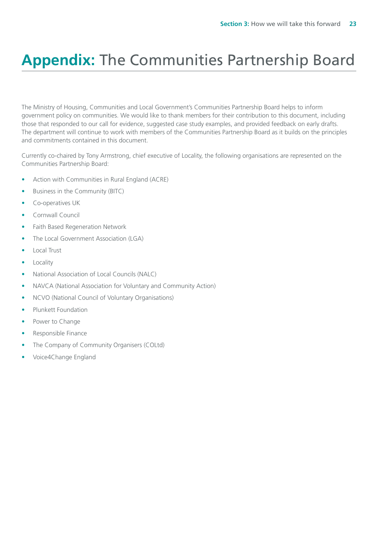# **Appendix:** The Communities Partnership Board

The Ministry of Housing, Communities and Local Government's Communities Partnership Board helps to inform government policy on communities. We would like to thank members for their contribution to this document, including those that responded to our call for evidence, suggested case study examples, and provided feedback on early drafts. The department will continue to work with members of the Communities Partnership Board as it builds on the principles and commitments contained in this document.

Currently co-chaired by Tony Armstrong, chief executive of Locality, the following organisations are represented on the Communities Partnership Board:

- Action with Communities in Rural England (ACRE)
- Business in the Community (BITC)
- Co-operatives UK
- Cornwall Council
- Faith Based Regeneration Network
- The Local Government Association (LGA)
- Local Trust
- Locality
- National Association of Local Councils (NALC)
- NAVCA (National Association for Voluntary and Community Action)
- NCVO (National Council of Voluntary Organisations)
- Plunkett Foundation
- Power to Change
- Responsible Finance
- The Company of Community Organisers (COLtd)
- Voice4Change England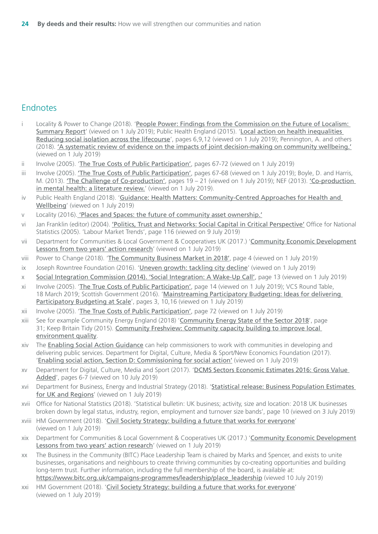### <span id="page-23-0"></span>Endnotes

- [i](#page-5-0) Locality & Power to Change (2018). 'People Power: Findings from the Commission on the Future of Localism: [Summary Report](https://locality.org.uk/wp-content/uploads/2018/03/LOCALITY-LOCALISM-REPORT-1.pdf)' (viewed on 1 July 2019); Public Health England (2015). '[Local action on health inequalities](https://assets.publishing.service.gov.uk/government/uploads/system/uploads/attachment_data/file/461120/3a_Social_isolation-Full-revised.pdf)  [Reducing social isolation across the lifecourse](https://assets.publishing.service.gov.uk/government/uploads/system/uploads/attachment_data/file/461120/3a_Social_isolation-Full-revised.pdf)', pages 6,9,12 (viewed on 1 July 2019); Pennington, A. and others (2018). ['A systematic review of evidence on the impacts of joint decision-making on community wellbeing.'](https://whatworkswellbeing.org/product/joint-decision-making-full-report/) (viewed on 1 July 2019)
- [ii](#page-5-0) Involve (2005). '[The True Costs of Public Participation'](https://www.involve.org.uk/sites/default/files/field/attachemnt/True-Costs-Full-Report.pdf), pages 67-72 (viewed on 1 July 2019)
- [iii](#page-5-0) Involve (2005). ['The True Costs of Public Participation'](https://gbr01.safelinks.protection.outlook.com/?url=https%3A%2F%2Fwww.involve.org.uk%2Fsites%2Fdefault%2Ffiles%2Ffield%2Fattachemnt%2FTrue-Costs-Full-Report.pdf&data=02%7C01%7CShane.Britton%40communities.gov.uk%7C37ba4d9bb5664e74663508d70c473431%7Cbf3468109c7d43dea87224a2ef3995a8%7C0%7C1%7C636991372439495155&sdata=bJWzXUKljTM7ywtSdmqFIQ%2FdqjEnIYKfGXQFCZ9lOBY%3D&reserved=0), pages 67-68 (viewed on 1 July 2019); Boyle, D. and Harris, M. (2013). ['The Challenge of Co-production'](https://gbr01.safelinks.protection.outlook.com/?url=https%3A%2F%2Fmedia.nesta.org.uk%2Fdocuments%2Fthe_challenge_of_co-production.pdf&data=02%7C01%7CShane.Britton%40communities.gov.uk%7C37ba4d9bb5664e74663508d70c473431%7Cbf3468109c7d43dea87224a2ef3995a8%7C0%7C1%7C636991372439495155&sdata=SNeyxz5d%2BBIZFI2VCujTFdKyX8f%2Byo3tTvDsQ7%2B0lRA%3D&reserved=0), pages 19 – 21 (viewed on 1 July 2019); NEF (2013). 'Co-production [in mental health: a literature review.](https://gbr01.safelinks.protection.outlook.com/?url=https%3A%2F%2Fneweconomics.org%2Fuploads%2Ffiles%2Fca0975b7cd88125c3e_ywm6bp3l1.pdf&data=02%7C01%7CShane.Britton%40communities.gov.uk%7C37ba4d9bb5664e74663508d70c473431%7Cbf3468109c7d43dea87224a2ef3995a8%7C0%7C1%7C636991372439505149&sdata=ka%2BGSB5uAzMl85%2BC%2FAr9QqPt1UweGX5VQ94RyD5EBdQ%3D&reserved=0)' (viewed on 1 July 2019).
- [iv](#page-5-0) Public Health England (2018). '[Guidance: Health Matters: Community-Centred Approaches for Health and](https://www.gov.uk/government/publications/health-matters-health-and-wellbeing-community-centred-approaches/health-matters-community-centred-approaches-for-health-and-wellbeing)  [Wellbeing](https://www.gov.uk/government/publications/health-matters-health-and-wellbeing-community-centred-approaches/health-matters-community-centred-approaches-for-health-and-wellbeing)' (viewed on 1 July 2019)
- [v](#page-5-0) Locality (2016). ['Places and Spaces: the future of community asset ownership.'](https://locality.org.uk/wp-content/uploads/2018/03/Locality-Places-and-spaces-report-final.pdf)
- [vi](#page-6-0) Jan Franklin (editor) (2004). ['Politics, Trust and Networks: Social Capital in Critical Perspective'](https://www.lsbu.ac.uk/__data/assets/pdf_file/0003/9372/politics-trust-social-capital-families-research-working-paper.pdf) Office for National Statistics (2005). 'Labour Market Trends', page 116 (viewed on 9 July 2019)
- [vii](#page-6-0) Department for Communities & Local Government & Cooperatives UK (2017.) '[Community Economic Development](https://cles.org.uk/wp-content/uploads/2017/10/ced_report_2017.pdf) [Lessons from two years' action research](https://cles.org.uk/wp-content/uploads/2017/10/ced_report_2017.pdf)' (viewed on 1 July 2019)
- [viii](#page-6-0) Power to Change (2018). '[The Community Business Market in 2018'](https://www.powertochange.org.uk/wp-content/uploads/2018/12/Report-19-Community-Business-Market-2018-FINAL-DIGITAL.pdf), page 4 (viewed on 1 July 2019)
- [ix](#page-6-0) Joseph Rowntree Foundation (2016). '[Uneven growth: tackling city decline](https://www.jrf.org.uk/report/uneven-growth-tackling-city-decline)' (viewed on 1 July 2019)
- [x](#page-6-0) Social Integration Commission (2014). '[Social Integration: A Wake-Up Call'](https://the-challenge.org/cms/uploads/a-wake-up-call-social-integration-commission.pdf), page 13 (viewed on 1 July 2019)
- [xi](#page-6-0) Involve (2005). '[The True Costs of Public Participation'](https://www.involve.org.uk/sites/default/files/field/attachemnt/True-Costs-Full-Report.pdf), page 14 (viewed on 1 July 2019); VCS Round Table, 18 March 2019; Scottish Government (2016). '[Mainstreaming Participatory Budgeting: Ideas for delivering](https://pbnetwork.org.uk/wp-content/uploads/2016/10/PB-Mainstreaming.pdf)  [Participatory Budgeting at Scale](https://pbnetwork.org.uk/wp-content/uploads/2016/10/PB-Mainstreaming.pdf)', pages 3, 10,16 (viewed on 1 July 2019)
- [xii](#page-6-0) Involve (2005). '[The True Costs of Public Participation'](https://www.involve.org.uk/sites/default/files/field/attachemnt/True-Costs-Full-Report.pdf), page 72 (viewed on 1 July 2019)
- [xiii](#page-6-0) See for example Community Energy England (2018) '[Community Energy State of the Sector 2018](https://www.communityenergyengland.org/files/document/284/1560345360_2018_CEE_StateoftheSectorReportv.1.51.pdf)', page 31; Keep Britain Tidy (2015). Community Freshview: Community capacity building to improve local [environment quality](https://www.keepbritaintidy.org/sites/default/files/resources/KBT_CFSI_Community_Freshview_Report_2015.pdf).
- [xiv](#page-8-0) The [Enabling Social Action Guidance](https://www.gov.uk/government/publications/enabling-social-action-guidance) can help commissioners to work with communities in developing and delivering public services. Department for Digital, Culture, Media & Sport/New Economics Foundation (2017). '[Enabling social action, Section D: Commissioning for social action'](https://assets.publishing.service.gov.uk/government/uploads/system/uploads/attachment_data/file/591802/Commissioning_for_social_action.pdf) (viewed on 1 July 2019)
- [xv](#page-9-0) Department for Digital, Culture, Media and Sport (2017). '[DCMS Sectors Economic Estimates 2016: Gross Value](https://assets.publishing.service.gov.uk/government/uploads/system/uploads/attachment_data/file/662958/DCMS_Sectors_Economic_Estimates_2016_GVA.pdf)  [Added](https://assets.publishing.service.gov.uk/government/uploads/system/uploads/attachment_data/file/662958/DCMS_Sectors_Economic_Estimates_2016_GVA.pdf)', pages 6-7 (viewed on 10 July 2019)
- [xvi](#page-10-0) Department for Business, Energy and Industrial Strategy (2018). '[Statistical release: Business Population Estimates](https://assets.publishing.service.gov.uk/government/uploads/system/uploads/attachment_data/file/746599/OFFICIAL_SENSITIVE_-_BPE_2018_-_statistical_release_FINAL_FINAL.pdf)  [for UK and Regions](https://assets.publishing.service.gov.uk/government/uploads/system/uploads/attachment_data/file/746599/OFFICIAL_SENSITIVE_-_BPE_2018_-_statistical_release_FINAL_FINAL.pdf)' (viewed on 1 July 2019)
- [xvii](#page-10-0) Office for National Statistics (2018). 'Statistical bulletin: UK business; activity, size and location: 2018 UK businesses broken down by legal status, industry, region, employment and turnover size bands', page 10 (viewed on 3 July 2019)
- [xviii](#page-10-0) HM Government (2018). '[Civil Society Strategy: building a future that works for everyone](https://assets.publishing.service.gov.uk/government/uploads/system/uploads/attachment_data/file/732765/Civil_Society_Strategy_-_building_a_future_that_works_for_everyone.pdf)' (viewed on 1 July 2019)
- [xix](#page-10-0) Department for Communities & Local Government & Cooperatives UK (2017.) '[Community Economic Development](https://cles.org.uk/wp-content/uploads/2017/10/ced_report_2017.pdf) [Lessons from two years' action research](https://cles.org.uk/wp-content/uploads/2017/10/ced_report_2017.pdf)' (viewed on 1 July 2019)
- [xx](#page-10-0) The Business in the Community (BITC) Place Leadership Team is chaired by Marks and Spencer, and exists to unite businesses, organisations and neighbours to create thriving communities by co-creating opportunities and building long-term trust. Further information, including the full membership of the board, is available at: [https://www.bitc.org.uk/campaigns-programmes/leadership/place\\_leadership](https://www.bitc.org.uk/campaigns-programmes/leadership/place_leadership) (viewed 10 July 2019)
- [xxi](#page-11-0) HM Government (2018). '[Civil Society Strategy: building a future that works for everyone](https://assets.publishing.service.gov.uk/government/uploads/system/uploads/attachment_data/file/732765/Civil_Society_Strategy_-_building_a_future_that_works_for_everyone.pdf)' (viewed on 1 July 2019)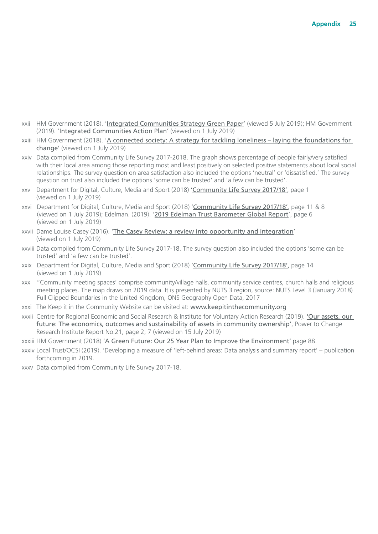- <span id="page-24-0"></span>[xxii](#page-11-0) HM Government (2018). '[Integrated Communities Strategy Green Paper](https://assets.publishing.service.gov.uk/government/uploads/system/uploads/attachment_data/file/696993/Integrated_Communities_Strategy.pdf)' (viewed 5 July 2019); HM Government (2019). '[Integrated Communities Action Plan'](https://assets.publishing.service.gov.uk/government/uploads/system/uploads/attachment_data/file/778045/Integrated_Communities_Strategy_Govt_Action_Plan.pdf) (viewed on 1 July 2019)
- [xxiii](#page-11-0) HM Government (2018). '[A connected society: A strategy for tackling loneliness laying the foundations for](https://assets.publishing.service.gov.uk/government/uploads/system/uploads/attachment_data/file/750909/6.4882_DCMS_Loneliness_Strategy_web_Update.pdf)  [change'](https://assets.publishing.service.gov.uk/government/uploads/system/uploads/attachment_data/file/750909/6.4882_DCMS_Loneliness_Strategy_web_Update.pdf) (viewed on 1 July 2019)
- [xxiv](#page-12-0) Data compiled from Community Life Survey 2017-2018. The graph shows percentage of people fairly/very satisfied with their local area among those reporting most and least positively on selected positive statements about local social relationships. The survey question on area satisfaction also included the options 'neutral' or 'dissatisfied.' The survey question on trust also included the options 'some can be trusted' and 'a few can be trusted'.
- [xxv](#page-12-0) Department for Digital, Culture, Media and Sport (2018) '[Community Life Survey 2017/18'](https://assets.publishing.service.gov.uk/government/uploads/system/uploads/attachment_data/file/734726/Community_Life_Survey_2017-18_statistical_bulletin.pdf), page 1 (viewed on 1 July 2019)
- [xxvi](#page-12-0) Department for Digital, Culture, Media and Sport (2018) '[Community Life Survey 2017/18'](https://assets.publishing.service.gov.uk/government/uploads/system/uploads/attachment_data/file/734726/Community_Life_Survey_2017-18_statistical_bulletin.pdf), page 11 & 8 (viewed on 1 July 2019); Edelman. (2019). '[2019 Edelman Trust Barometer Global Report](https://www.edelman.com/sites/g/files/aatuss191/files/2019-03/2019_Edelman_Trust_Barometer_Global_Report.pdf)', page 6 (viewed on 1 July 2019)
- [xxvii](#page-12-0) Dame Louise Casey (2016). '[The Casey Review: a review into opportunity and integration](https://assets.publishing.service.gov.uk/government/uploads/system/uploads/attachment_data/file/575973/The_Casey_Review_Report.pdf)' (viewed on 1 July 2019)
- [xxviii](#page-13-0) Data compiled from Community Life Survey 2017-18. The survey question also included the options 'some can be trusted' and 'a few can be trusted'.
- [xxix](#page-14-0) Department for Digital, Culture, Media and Sport (2018) '[Community Life Survey 2017/18'](https://assets.publishing.service.gov.uk/government/uploads/system/uploads/attachment_data/file/734726/Community_Life_Survey_2017-18_statistical_bulletin.pdf), page 14 (viewed on 1 July 2019)
- [xxx](#page-16-0) ''Community meeting spaces' comprise community/village halls, community service centres, church halls and religious meeting places. The map draws on 2019 data. It is presented by NUTS 3 region, source: NUTS Level 3 (January 2018) Full Clipped Boundaries in the United Kingdom, ONS Geography Open Data, 2017
- [xxxi](#page-17-0) The Keep it in the Community Website can be visited at: <www.keepitinthecommunity.org>
- [xxxii](#page-17-0) Centre for Regional Economic and Social Research & Institute for Voluntary Action Research (2019). ['Our assets, our](https://www.powertochange.org.uk/research/assets-future-economics-outcomes-sustainability-assets-community-ownership)  [future: The economics, outcomes and sustainability of assets in community ownership'](https://www.powertochange.org.uk/research/assets-future-economics-outcomes-sustainability-assets-community-ownership), Power to Change Research Institute Report No.21, page 2; 7 (viewed on 15 July 2019)
- [xxxiii](#page-17-0) HM Government (2018) ['A Green Future: Our 25 Year Plan to Improve the Environment'](https://assets.publishing.service.gov.uk/government/uploads/system/uploads/attachment_data/file/693158/25-year-environment-plan.pdf) page 88.
- [xxxiv](#page-18-0) Local Trust/OCSI (2019). 'Developing a measure of 'left-behind areas: Data analysis and summary report' publication forthcoming in 2019.
- [xxxv](#page-18-0) Data compiled from Community Life Survey 2017-18.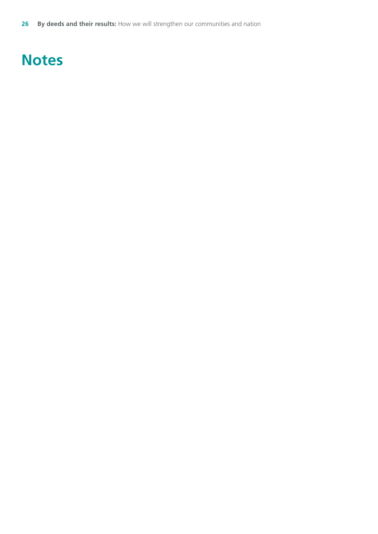**26 By deeds and their results:** How we will strengthen our communities and nation

# **Notes**